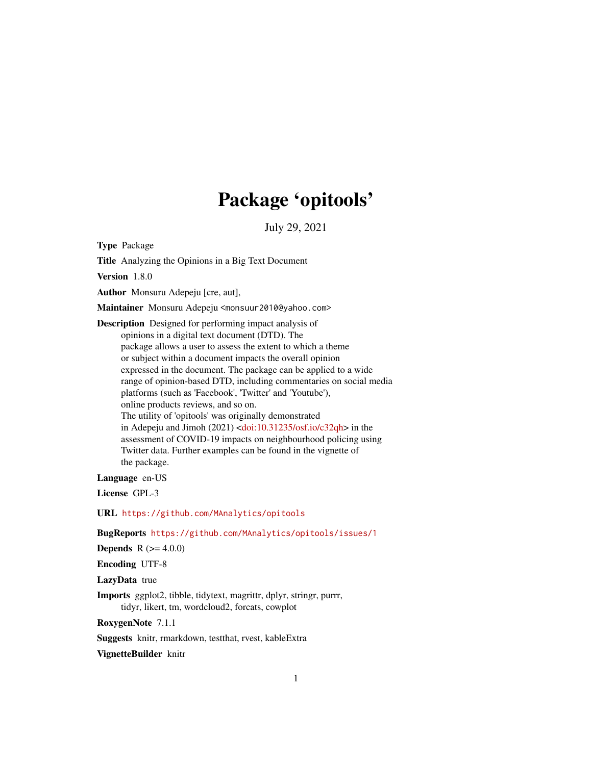# Package 'opitools'

July 29, 2021

Type Package

Title Analyzing the Opinions in a Big Text Document

Version 1.8.0

Author Monsuru Adepeju [cre, aut],

Maintainer Monsuru Adepeju <monsuur2010@yahoo.com>

Description Designed for performing impact analysis of opinions in a digital text document (DTD). The package allows a user to assess the extent to which a theme or subject within a document impacts the overall opinion expressed in the document. The package can be applied to a wide range of opinion-based DTD, including commentaries on social media platforms (such as 'Facebook', 'Twitter' and 'Youtube'), online products reviews, and so on. The utility of 'opitools' was originally demonstrated in Adepeju and Jimoh (2021) [<doi:10.31235/osf.io/c32qh>](https://doi.org/10.31235/osf.io/c32qh) in the assessment of COVID-19 impacts on neighbourhood policing using Twitter data. Further examples can be found in the vignette of the package.

Language en-US

License GPL-3

URL <https://github.com/MAnalytics/opitools>

BugReports <https://github.com/MAnalytics/opitools/issues/1>

**Depends**  $R (= 4.0.0)$ 

Encoding UTF-8

LazyData true

Imports ggplot2, tibble, tidytext, magrittr, dplyr, stringr, purrr, tidyr, likert, tm, wordcloud2, forcats, cowplot

RoxygenNote 7.1.1

Suggests knitr, rmarkdown, testthat, rvest, kableExtra

VignetteBuilder knitr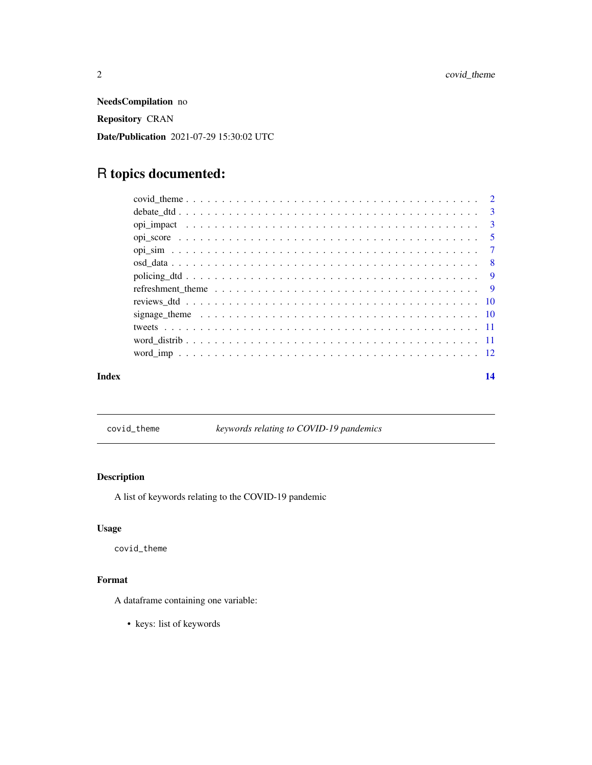<span id="page-1-0"></span>NeedsCompilation no Repository CRAN Date/Publication 2021-07-29 15:30:02 UTC

## R topics documented:

| Index | 14 |
|-------|----|
|       |    |
|       |    |
|       |    |
|       |    |
|       |    |
|       |    |
|       |    |
|       |    |
|       |    |
|       |    |
|       |    |
|       |    |
|       |    |

covid\_theme *keywords relating to COVID-19 pandemics*

#### Description

A list of keywords relating to the COVID-19 pandemic

#### Usage

covid\_theme

## Format

A dataframe containing one variable:

• keys: list of keywords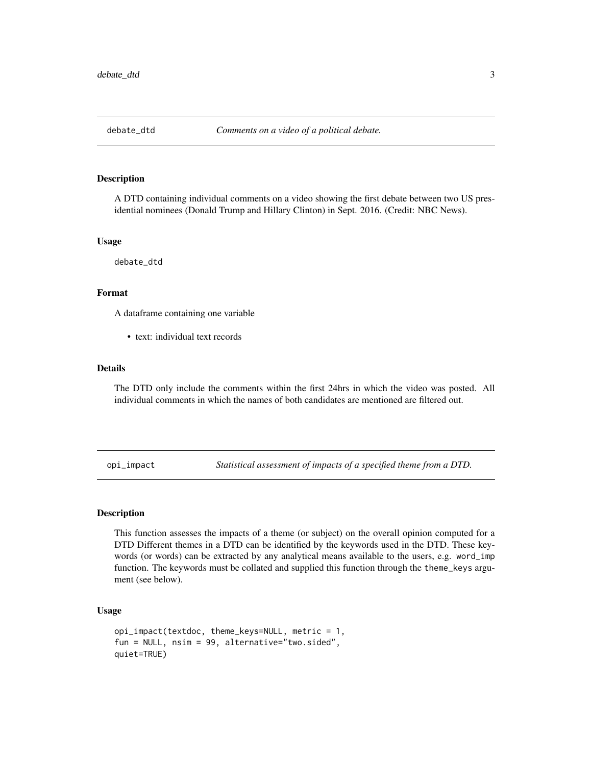<span id="page-2-0"></span>

#### Description

A DTD containing individual comments on a video showing the first debate between two US presidential nominees (Donald Trump and Hillary Clinton) in Sept. 2016. (Credit: NBC News).

#### Usage

debate\_dtd

#### Format

A dataframe containing one variable

• text: individual text records

#### Details

The DTD only include the comments within the first 24hrs in which the video was posted. All individual comments in which the names of both candidates are mentioned are filtered out.

opi\_impact *Statistical assessment of impacts of a specified theme from a DTD.*

#### Description

This function assesses the impacts of a theme (or subject) on the overall opinion computed for a DTD Different themes in a DTD can be identified by the keywords used in the DTD. These keywords (or words) can be extracted by any analytical means available to the users, e.g. word\_imp function. The keywords must be collated and supplied this function through the theme\_keys argument (see below).

#### Usage

```
opi_impact(textdoc, theme_keys=NULL, metric = 1,
fun = NULL, nsim = 99, alternative="two.sided",
quiet=TRUE)
```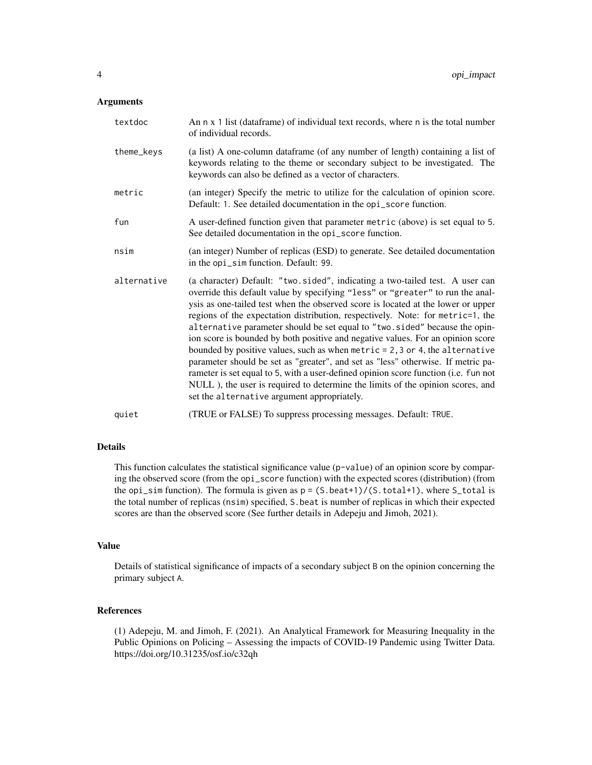#### Arguments

| textdoc     | An n x 1 list (dataframe) of individual text records, where n is the total number<br>of individual records.                                                                                                                                                                                                                                                                                                                                                                                                                                                                                                                                                                                                                                                                                                                                                                                          |
|-------------|------------------------------------------------------------------------------------------------------------------------------------------------------------------------------------------------------------------------------------------------------------------------------------------------------------------------------------------------------------------------------------------------------------------------------------------------------------------------------------------------------------------------------------------------------------------------------------------------------------------------------------------------------------------------------------------------------------------------------------------------------------------------------------------------------------------------------------------------------------------------------------------------------|
| theme_keys  | (a list) A one-column dataframe (of any number of length) containing a list of<br>keywords relating to the theme or secondary subject to be investigated. The<br>keywords can also be defined as a vector of characters.                                                                                                                                                                                                                                                                                                                                                                                                                                                                                                                                                                                                                                                                             |
| metric      | (an integer) Specify the metric to utilize for the calculation of opinion score.<br>Default: 1. See detailed documentation in the opi_score function.                                                                                                                                                                                                                                                                                                                                                                                                                                                                                                                                                                                                                                                                                                                                                |
| fun         | A user-defined function given that parameter metric (above) is set equal to 5.<br>See detailed documentation in the opi_score function.                                                                                                                                                                                                                                                                                                                                                                                                                                                                                                                                                                                                                                                                                                                                                              |
| nsim        | (an integer) Number of replicas (ESD) to generate. See detailed documentation<br>in the opi_sim function. Default: 99.                                                                                                                                                                                                                                                                                                                                                                                                                                                                                                                                                                                                                                                                                                                                                                               |
| alternative | (a character) Default: "two.sided", indicating a two-tailed test. A user can<br>override this default value by specifying "less" or "greater" to run the anal-<br>ysis as one-tailed test when the observed score is located at the lower or upper<br>regions of the expectation distribution, respectively. Note: for metric=1, the<br>alternative parameter should be set equal to "two. sided" because the opin-<br>ion score is bounded by both positive and negative values. For an opinion score<br>bounded by positive values, such as when $metric = 2, 3$ or 4, the alternative<br>parameter should be set as "greater", and set as "less" otherwise. If metric pa-<br>rameter is set equal to 5, with a user-defined opinion score function (i.e. fun not<br>NULL), the user is required to determine the limits of the opinion scores, and<br>set the alternative argument appropriately. |
| quiet       | (TRUE or FALSE) To suppress processing messages. Default: TRUE.                                                                                                                                                                                                                                                                                                                                                                                                                                                                                                                                                                                                                                                                                                                                                                                                                                      |

#### Details

This function calculates the statistical significance value (p-value) of an opinion score by comparing the observed score (from the opi\_score function) with the expected scores (distribution) (from the opi\_sim function). The formula is given as  $p = (S.\text{beat+1})/(S.\text{total+1})$ , where  $S\text{-total}$  is the total number of replicas (nsim) specified, S.beat is number of replicas in which their expected scores are than the observed score (See further details in Adepeju and Jimoh, 2021).

#### Value

Details of statistical significance of impacts of a secondary subject B on the opinion concerning the primary subject A.

#### References

(1) Adepeju, M. and Jimoh, F. (2021). An Analytical Framework for Measuring Inequality in the Public Opinions on Policing – Assessing the impacts of COVID-19 Pandemic using Twitter Data. https://doi.org/10.31235/osf.io/c32qh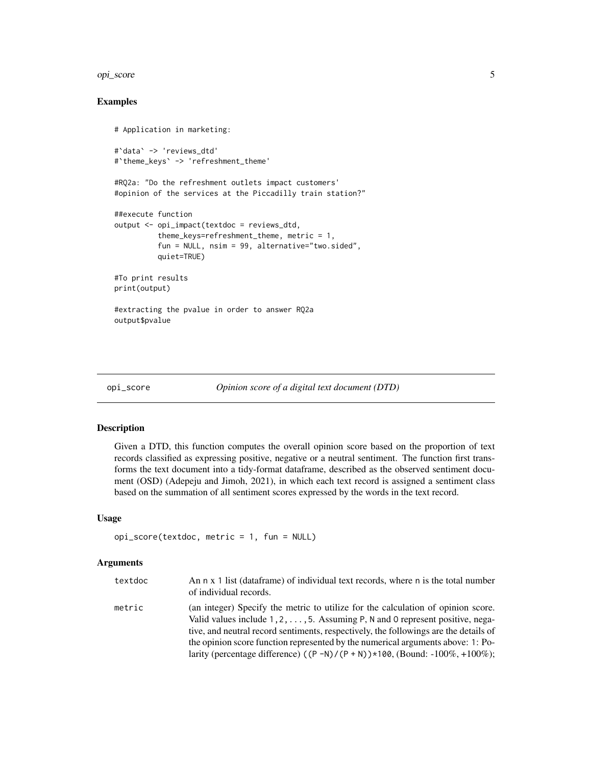#### <span id="page-4-0"></span>opi\_score 5

#### Examples

```
# Application in marketing:
#`data` -> 'reviews_dtd'
#`theme_keys` -> 'refreshment_theme'
#RQ2a: "Do the refreshment outlets impact customers'
#opinion of the services at the Piccadilly train station?"
##execute function
output <- opi_impact(textdoc = reviews_dtd,
          theme_keys=refreshment_theme, metric = 1,
          fun = NULL, nsim = 99, alternative="two.sided",
         quiet=TRUE)
#To print results
print(output)
#extracting the pvalue in order to answer RQ2a
output$pvalue
```
opi\_score *Opinion score of a digital text document (DTD)*

#### Description

Given a DTD, this function computes the overall opinion score based on the proportion of text records classified as expressing positive, negative or a neutral sentiment. The function first transforms the text document into a tidy-format dataframe, described as the observed sentiment document (OSD) (Adepeju and Jimoh, 2021), in which each text record is assigned a sentiment class based on the summation of all sentiment scores expressed by the words in the text record.

#### Usage

```
opi_score(textdoc, metric = 1, fun = NULL)
```
#### Arguments

| textdoc | An n x 1 list (dataframe) of individual text records, where n is the total number<br>of individual records.                                                                                                                                                        |
|---------|--------------------------------------------------------------------------------------------------------------------------------------------------------------------------------------------------------------------------------------------------------------------|
| metric  | (an integer) Specify the metric to utilize for the calculation of opinion score.<br>Valid values include $1, 2, \ldots, 5$ . Assuming P, N and 0 represent positive, nega-<br>tive, and neutral record sentiments, respectively, the followings are the details of |
|         | the opinion score function represented by the numerical arguments above: 1: Po-<br>larity (percentage difference) $((P - N)/(P + N)) \times 100$ , (Bound: -100%, +100%);                                                                                          |
|         |                                                                                                                                                                                                                                                                    |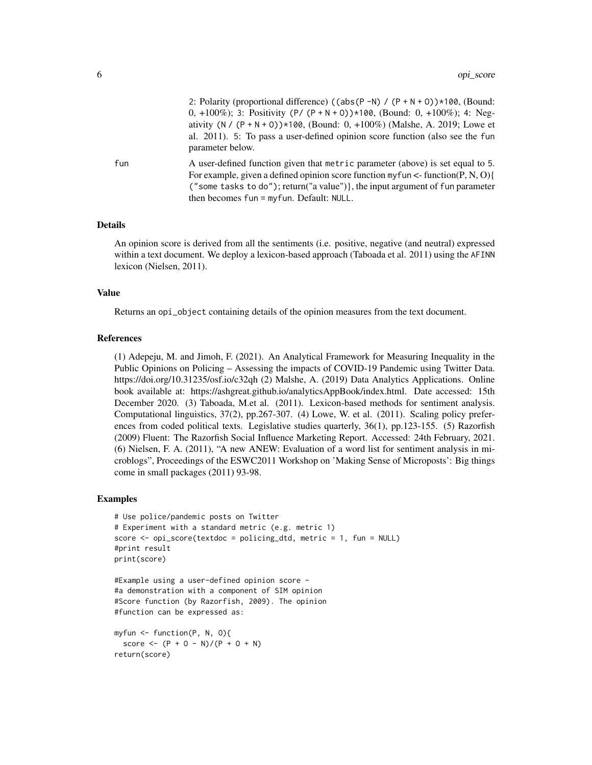| 2: Polarity (proportional difference) ((abs(P -N) / $(P + N + 0)$ ) *100, (Bound: |
|-----------------------------------------------------------------------------------|
| 0, +100\%); 3: Positivity (P/(P + N + 0)) \*100, (Bound: 0, +100\%); 4: Neg-      |
| ativity (N / (P + N + 0)) $*100$ , (Bound: 0, +100%) (Malshe, A. 2019; Lowe et    |
| al. 2011). 5: To pass a user-defined opinion score function (also see the fun     |
| parameter below.                                                                  |

fun A user-defined function given that metric parameter (above) is set equal to 5. For example, given a defined opinion score function my fun  $\leq$ -function(P, N, O){ ("some tasks to do"); return("a value")}, the input argument of fun parameter then becomes fun = myfun. Default: NULL.

#### Details

An opinion score is derived from all the sentiments (i.e. positive, negative (and neutral) expressed within a text document. We deploy a lexicon-based approach (Taboada et al. 2011) using the AFINN lexicon (Nielsen, 2011).

#### Value

Returns an opi\_object containing details of the opinion measures from the text document.

#### References

(1) Adepeju, M. and Jimoh, F. (2021). An Analytical Framework for Measuring Inequality in the Public Opinions on Policing – Assessing the impacts of COVID-19 Pandemic using Twitter Data. https://doi.org/10.31235/osf.io/c32qh (2) Malshe, A. (2019) Data Analytics Applications. Online book available at: https://ashgreat.github.io/analyticsAppBook/index.html. Date accessed: 15th December 2020. (3) Taboada, M.et al. (2011). Lexicon-based methods for sentiment analysis. Computational linguistics, 37(2), pp.267-307. (4) Lowe, W. et al. (2011). Scaling policy preferences from coded political texts. Legislative studies quarterly, 36(1), pp.123-155. (5) Razorfish (2009) Fluent: The Razorfish Social Influence Marketing Report. Accessed: 24th February, 2021. (6) Nielsen, F. A. (2011), "A new ANEW: Evaluation of a word list for sentiment analysis in microblogs", Proceedings of the ESWC2011 Workshop on 'Making Sense of Microposts': Big things come in small packages (2011) 93-98.

#### Examples

```
# Use police/pandemic posts on Twitter
# Experiment with a standard metric (e.g. metric 1)
score <- opi_score(textdoc = policing_dtd, metric = 1, fun = NULL)
#print result
print(score)
```

```
#Example using a user-defined opinion score -
#a demonstration with a component of SIM opinion
#Score function (by Razorfish, 2009). The opinion
#function can be expressed as:
```

```
myfun <- function(P, N, O){
 score \leq - (P + 0 - N)/(P + 0 + N)return(score)
```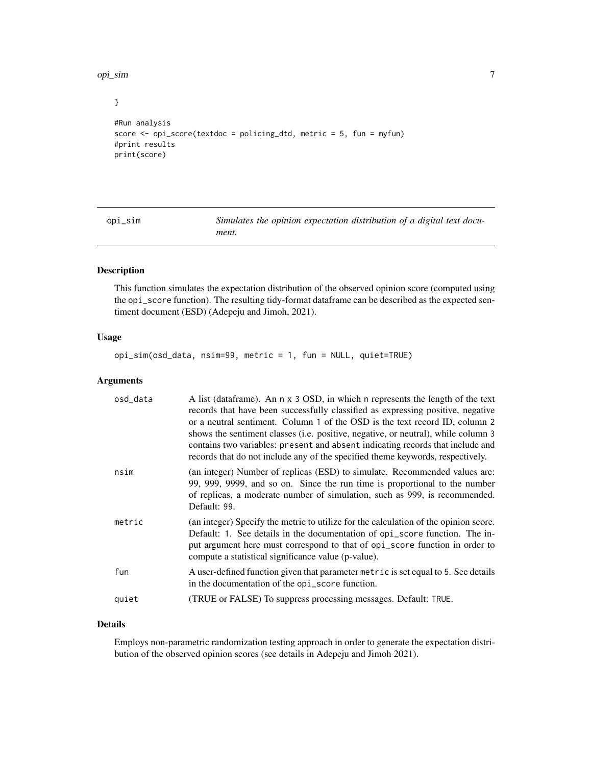<span id="page-6-0"></span>opi\_sim 7

}

```
#Run analysis
score <- opi_score(textdoc = policing_dtd, metric = 5, fun = myfun)
#print results
print(score)
```
opi\_sim *Simulates the opinion expectation distribution of a digital text document.*

#### Description

This function simulates the expectation distribution of the observed opinion score (computed using the opi\_score function). The resulting tidy-format dataframe can be described as the expected sentiment document (ESD) (Adepeju and Jimoh, 2021).

#### Usage

opi\_sim(osd\_data, nsim=99, metric = 1, fun = NULL, quiet=TRUE)

#### Arguments

| osd_data | A list (dataframe). An n x 3 OSD, in which n represents the length of the text<br>records that have been successfully classified as expressing positive, negative<br>or a neutral sentiment. Column 1 of the OSD is the text record ID, column 2<br>shows the sentiment classes (i.e. positive, negative, or neutral), while column 3<br>contains two variables: present and absent indicating records that include and<br>records that do not include any of the specified theme keywords, respectively. |
|----------|-----------------------------------------------------------------------------------------------------------------------------------------------------------------------------------------------------------------------------------------------------------------------------------------------------------------------------------------------------------------------------------------------------------------------------------------------------------------------------------------------------------|
| nsim     | (an integer) Number of replicas (ESD) to simulate. Recommended values are:<br>99, 999, 9999, and so on. Since the run time is proportional to the number<br>of replicas, a moderate number of simulation, such as 999, is recommended.<br>Default: 99.                                                                                                                                                                                                                                                    |
| metric   | (an integer) Specify the metric to utilize for the calculation of the opinion score.<br>Default: 1. See details in the documentation of opi_score function. The in-<br>put argument here must correspond to that of opi_score function in order to<br>compute a statistical significance value (p-value).                                                                                                                                                                                                 |
| fun      | A user-defined function given that parameter metric is set equal to 5. See details<br>in the documentation of the opi_score function.                                                                                                                                                                                                                                                                                                                                                                     |
| quiet    | (TRUE or FALSE) To suppress processing messages. Default: TRUE.                                                                                                                                                                                                                                                                                                                                                                                                                                           |

#### Details

Employs non-parametric randomization testing approach in order to generate the expectation distribution of the observed opinion scores (see details in Adepeju and Jimoh 2021).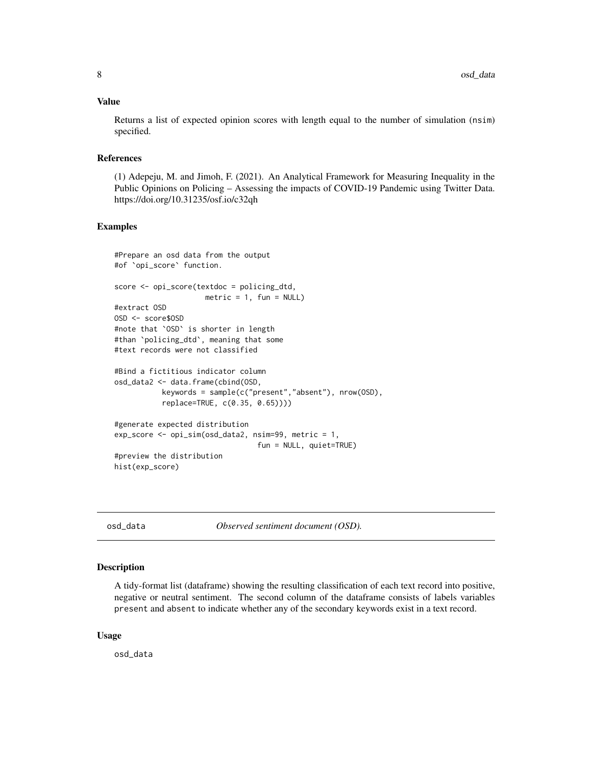#### <span id="page-7-0"></span>Value

Returns a list of expected opinion scores with length equal to the number of simulation (nsim) specified.

#### References

(1) Adepeju, M. and Jimoh, F. (2021). An Analytical Framework for Measuring Inequality in the Public Opinions on Policing – Assessing the impacts of COVID-19 Pandemic using Twitter Data. https://doi.org/10.31235/osf.io/c32qh

#### Examples

```
#Prepare an osd data from the output
#of `opi_score` function.
score <- opi_score(textdoc = policing_dtd,
                     metric = 1, fun = NULL)
#extract OSD
OSD <- score$OSD
#note that `OSD` is shorter in length
#than `policing_dtd`, meaning that some
#text records were not classified
#Bind a fictitious indicator column
osd_data2 <- data.frame(cbind(OSD,
           keywords = sample(c("present","absent"), nrow(OSD),
           replace=TRUE, c(0.35, 0.65))))
#generate expected distribution
exp_score <- opi_sim(osd_data2, nsim=99, metric = 1,
                                 fun = NULL, quiet=TRUE)
#preview the distribution
hist(exp_score)
```
osd\_data *Observed sentiment document (OSD).*

#### Description

A tidy-format list (dataframe) showing the resulting classification of each text record into positive, negative or neutral sentiment. The second column of the dataframe consists of labels variables present and absent to indicate whether any of the secondary keywords exist in a text record.

#### Usage

osd\_data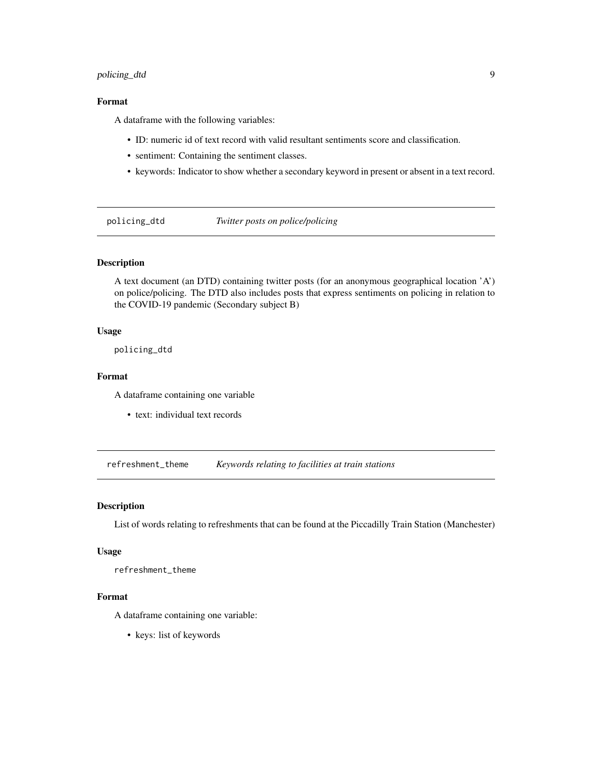#### <span id="page-8-0"></span>policing\_dtd 9

#### Format

A dataframe with the following variables:

- ID: numeric id of text record with valid resultant sentiments score and classification.
- sentiment: Containing the sentiment classes.
- keywords: Indicator to show whether a secondary keyword in present or absent in a text record.

policing\_dtd *Twitter posts on police/policing*

#### Description

A text document (an DTD) containing twitter posts (for an anonymous geographical location 'A') on police/policing. The DTD also includes posts that express sentiments on policing in relation to the COVID-19 pandemic (Secondary subject B)

#### Usage

policing\_dtd

#### Format

A dataframe containing one variable

• text: individual text records

refreshment\_theme *Keywords relating to facilities at train stations*

#### Description

List of words relating to refreshments that can be found at the Piccadilly Train Station (Manchester)

#### Usage

refreshment\_theme

#### Format

A dataframe containing one variable:

• keys: list of keywords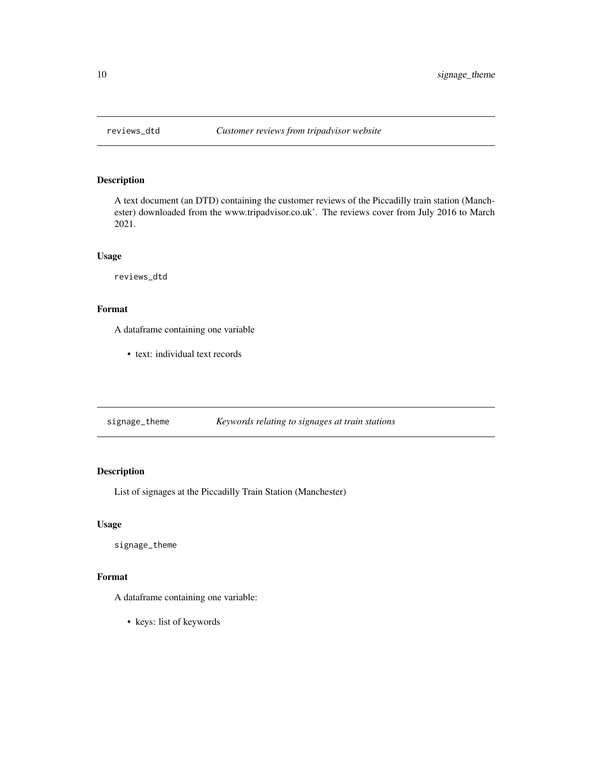<span id="page-9-0"></span>

## Description

A text document (an DTD) containing the customer reviews of the Piccadilly train station (Manchester) downloaded from the www.tripadvisor.co.uk'. The reviews cover from July 2016 to March 2021.

#### Usage

reviews\_dtd

#### Format

A dataframe containing one variable

• text: individual text records

| signage_theme | Keywords relating to signages at train stations |
|---------------|-------------------------------------------------|
|               |                                                 |

#### Description

List of signages at the Piccadilly Train Station (Manchester)

#### Usage

signage\_theme

#### Format

A dataframe containing one variable:

• keys: list of keywords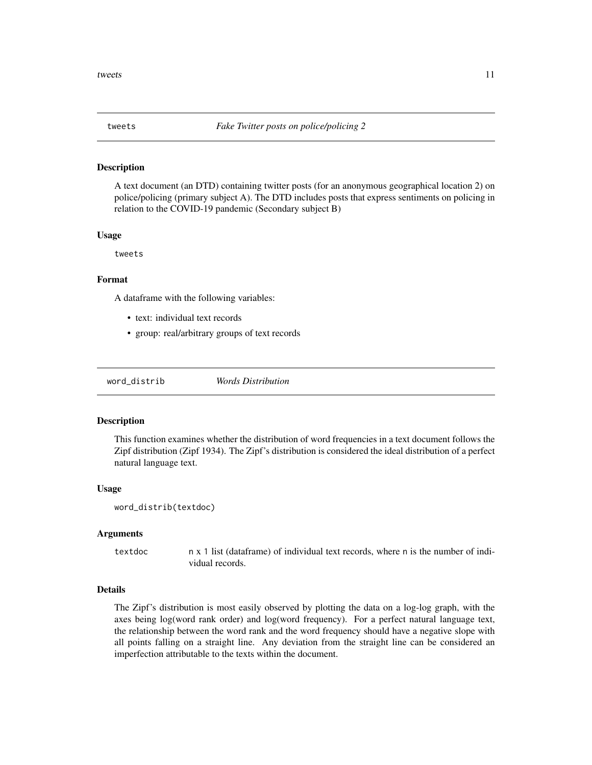<span id="page-10-0"></span>

#### Description

A text document (an DTD) containing twitter posts (for an anonymous geographical location 2) on police/policing (primary subject A). The DTD includes posts that express sentiments on policing in relation to the COVID-19 pandemic (Secondary subject B)

#### Usage

tweets

#### Format

A dataframe with the following variables:

- text: individual text records
- group: real/arbitrary groups of text records

word\_distrib *Words Distribution*

#### Description

This function examines whether the distribution of word frequencies in a text document follows the Zipf distribution (Zipf 1934). The Zipf's distribution is considered the ideal distribution of a perfect natural language text.

#### Usage

```
word_distrib(textdoc)
```
#### Arguments

textdoc n x 1 list (dataframe) of individual text records, where n is the number of individual records.

#### Details

The Zipf's distribution is most easily observed by plotting the data on a log-log graph, with the axes being log(word rank order) and log(word frequency). For a perfect natural language text, the relationship between the word rank and the word frequency should have a negative slope with all points falling on a straight line. Any deviation from the straight line can be considered an imperfection attributable to the texts within the document.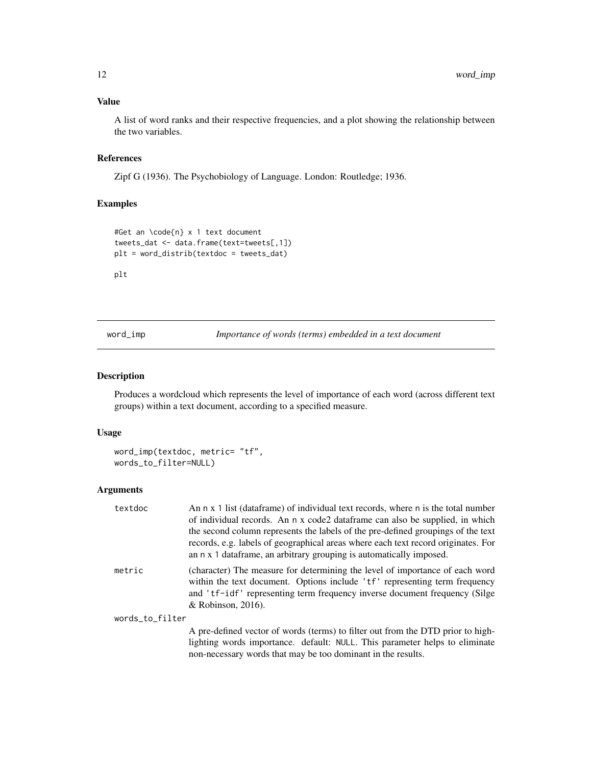#### <span id="page-11-0"></span>Value

A list of word ranks and their respective frequencies, and a plot showing the relationship between the two variables.

#### References

Zipf G (1936). The Psychobiology of Language. London: Routledge; 1936.

#### Examples

```
#Get an \code{n} x 1 text document
tweets_dat <- data.frame(text=tweets[,1])
plt = word_distrib(textdoc = tweets_dat)
```
#### plt

word\_imp *Importance of words (terms) embedded in a text document*

#### Description

Produces a wordcloud which represents the level of importance of each word (across different text groups) within a text document, according to a specified measure.

#### Usage

```
word_imp(textdoc, metric= "tf",
words_to_filter=NULL)
```
#### Arguments

| textdoc         | An n x 1 list (dataframe) of individual text records, where n is the total number<br>of individual records. An n x code2 data frame can also be supplied, in which<br>the second column represents the labels of the pre-defined groupings of the text<br>records, e.g. labels of geographical areas where each text record originates. For<br>an n x 1 data frame, an arbitrary grouping is automatically imposed. |
|-----------------|---------------------------------------------------------------------------------------------------------------------------------------------------------------------------------------------------------------------------------------------------------------------------------------------------------------------------------------------------------------------------------------------------------------------|
| metric          | (character) The measure for determining the level of importance of each word<br>within the text document. Options include 'tf' representing term frequency<br>and 'tf-idf' representing term frequency inverse document frequency (Silge<br>& Robinson, $2016$ ).                                                                                                                                                   |
| words_to_filter |                                                                                                                                                                                                                                                                                                                                                                                                                     |
|                 | A pre-defined vector of words (terms) to filter out from the DTD prior to high-<br>lighting words importance. default: NULL. This parameter helps to eliminate                                                                                                                                                                                                                                                      |

lighting words importance. default: NULL. This parameter helps to eliminate non-necessary words that may be too dominant in the results.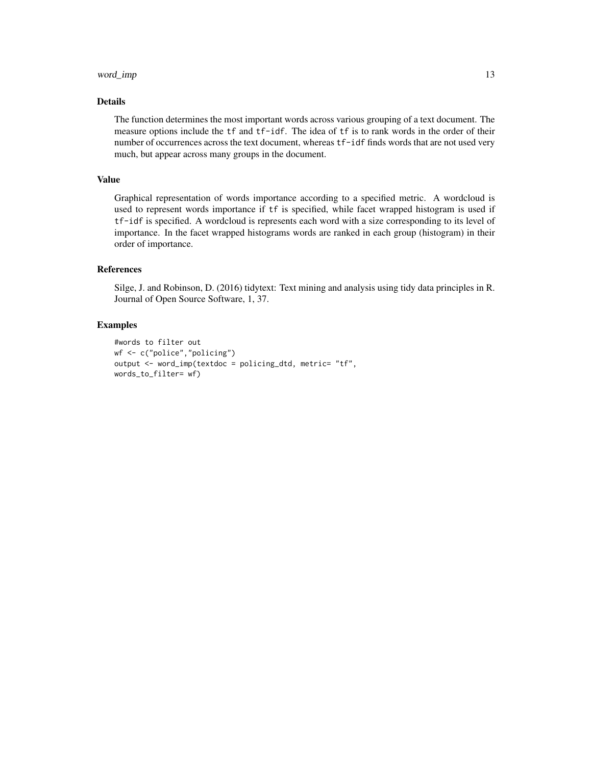#### word\_imp 13

#### Details

The function determines the most important words across various grouping of a text document. The measure options include the tf and tf-idf. The idea of tf is to rank words in the order of their number of occurrences across the text document, whereas tf-idf finds words that are not used very much, but appear across many groups in the document.

#### Value

Graphical representation of words importance according to a specified metric. A wordcloud is used to represent words importance if tf is specified, while facet wrapped histogram is used if tf-idf is specified. A wordcloud is represents each word with a size corresponding to its level of importance. In the facet wrapped histograms words are ranked in each group (histogram) in their order of importance.

#### References

Silge, J. and Robinson, D. (2016) tidytext: Text mining and analysis using tidy data principles in R. Journal of Open Source Software, 1, 37.

#### Examples

```
#words to filter out
wf <- c("police","policing")
output <- word_imp(textdoc = policing_dtd, metric= "tf",
words_to_filter= wf)
```